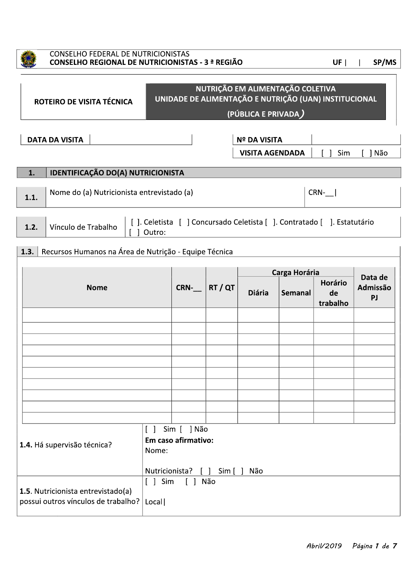

## **CONSELHO FEDERAL DE NUTRICIONISTAS** CONSELHO REGIONAL DE NUTRICIONISTAS - 3 ª REGIÃO

| UF |  | SP/MS |
|----|--|-------|
|    |  |       |

| NUTRIÇÃO EM ALIMENTAÇÃO COLETIVA<br>UNIDADE DE ALIMENTAÇÃO E NUTRIÇÃO (UAN) INSTITUCIONAL<br>ROTEIRO DE VISITA TÉCNICA<br>(PÚBLICA E PRIVADA)                  |                                                       |  |      |       |               |                          |                                  |                           |  |
|----------------------------------------------------------------------------------------------------------------------------------------------------------------|-------------------------------------------------------|--|------|-------|---------------|--------------------------|----------------------------------|---------------------------|--|
|                                                                                                                                                                | <b>DATA DA VISITA</b><br><b>Nº DA VISITA</b>          |  |      |       |               |                          |                                  |                           |  |
| <b>VISITA AGENDADA</b><br>1 Sim<br>1 Não                                                                                                                       |                                                       |  |      |       |               |                          |                                  |                           |  |
| 1.                                                                                                                                                             | IDENTIFICAÇÃO DO(A) NUTRICIONISTA                     |  |      |       |               |                          |                                  |                           |  |
| 1.1.                                                                                                                                                           | Nome do (a) Nutricionista entrevistado (a)            |  |      |       |               |                          | $CRN-$                           |                           |  |
| []. Celetista [] Concursado Celetista []. Contratado []. Estatutário<br>Vínculo de Trabalho<br>1.2.<br>Outro:                                                  |                                                       |  |      |       |               |                          |                                  |                           |  |
| 1.3.                                                                                                                                                           | Recursos Humanos na Área de Nutrição - Equipe Técnica |  |      |       |               |                          |                                  |                           |  |
|                                                                                                                                                                | <b>Nome</b>                                           |  | CRN- | RT/QT | <b>Diária</b> | Carga Horária<br>Semanal | <b>Horário</b><br>de<br>trabalho | Data de<br>Admissão<br>PJ |  |
|                                                                                                                                                                |                                                       |  |      |       |               |                          |                                  |                           |  |
|                                                                                                                                                                |                                                       |  |      |       |               |                          |                                  |                           |  |
|                                                                                                                                                                |                                                       |  |      |       |               |                          |                                  |                           |  |
|                                                                                                                                                                |                                                       |  |      |       |               |                          |                                  |                           |  |
|                                                                                                                                                                |                                                       |  |      |       |               |                          |                                  |                           |  |
|                                                                                                                                                                |                                                       |  |      |       |               |                          |                                  |                           |  |
| Sim [ ] Não<br>$\mathbf{I}$<br>$\mathbf{I}$<br>Em caso afirmativo:<br>1.4. Há supervisão técnica?<br>Nome:<br>Nutricionista?<br>Sim [ ]<br>Não<br>$\mathbf{1}$ |                                                       |  |      |       |               |                          |                                  |                           |  |
| $[ ]$ Sim<br>Não<br>$\Box$<br>1.5. Nutricionista entrevistado(a)<br>possui outros vínculos de trabalho?<br>Local                                               |                                                       |  |      |       |               |                          |                                  |                           |  |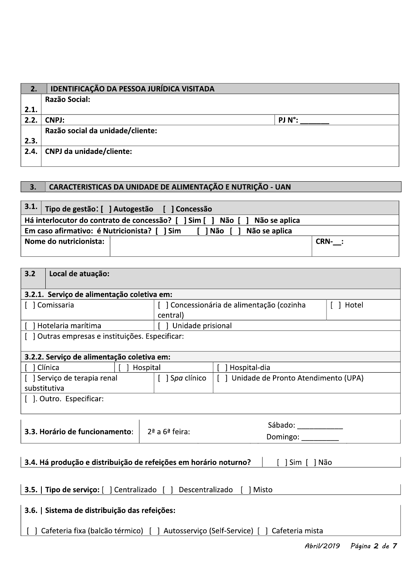| 2.   | IDENTIFICAÇÃO DA PESSOA JURÍDICA VISITADA                  |                  |
|------|------------------------------------------------------------|------------------|
|      | Razão Social:                                              |                  |
| 2.1. |                                                            |                  |
| 2.2. | <b>CNPJ:</b>                                               | $PJ N^{\circ}$ : |
|      | Razão social da unidade/cliente:                           |                  |
| 2.3. |                                                            |                  |
| 2.4. | <b>CNPJ da unidade/cliente:</b>                            |                  |
|      |                                                            |                  |
| 3.   | CARACTERISTICAS DA UNIDADE DE ALIMENTAÇÃO E NUTRIÇÃO - UAN |                  |
|      |                                                            |                  |

## 3. CARACTERISTICAS DA UNIDADE DE ALIMENTAÇÃO E NUTRIÇÃO - UAN

|      | Razão social da unidade/cliente:                                                  |          |
|------|-----------------------------------------------------------------------------------|----------|
| 2.3. |                                                                                   |          |
| 2.4. | <b>CNPJ da unidade/cliente:</b>                                                   |          |
|      |                                                                                   |          |
| 3.   | CARACTERISTICAS DA UNIDADE DE ALIMENTAÇÃO E NUTRIÇÃO - UAN                        |          |
|      |                                                                                   |          |
| 3.1. | Tipo de gestão: [ ] Autogestão [ ] Concessão                                      |          |
|      | Há interlocutor do contrato de concessão? [ ] Sim [ ] Não [ ]<br>Não se aplica    |          |
|      | Em caso afirmativo: é Nutricionista? [ ] Sim<br>[ <b>] Não</b> [<br>Não se aplica |          |
|      | Nome do nutricionista:                                                            | $CRN-$ : |
|      |                                                                                   |          |
| 3.2  | Local de atuação:                                                                 |          |
|      | $\cdot$ $\cdot$ $\cdot$                                                           |          |

| Há interlocutor do contrato de concessão? [ ] Sim [<br>Não [<br>Não se aplica                                                        |                                                                          |                                                                                                                                                                                                               |  |  |  |  |  |  |  |
|--------------------------------------------------------------------------------------------------------------------------------------|--------------------------------------------------------------------------|---------------------------------------------------------------------------------------------------------------------------------------------------------------------------------------------------------------|--|--|--|--|--|--|--|
| Em caso afirmativo: é Nutricionista? [ ] Sim<br>Não se aplica<br>[ ] Não                                                             |                                                                          |                                                                                                                                                                                                               |  |  |  |  |  |  |  |
| Nome do nutricionista:                                                                                                               |                                                                          |                                                                                                                                                                                                               |  |  |  |  |  |  |  |
|                                                                                                                                      |                                                                          |                                                                                                                                                                                                               |  |  |  |  |  |  |  |
|                                                                                                                                      |                                                                          |                                                                                                                                                                                                               |  |  |  |  |  |  |  |
| 3.2.1. Serviço de alimentação coletiva em:                                                                                           |                                                                          |                                                                                                                                                                                                               |  |  |  |  |  |  |  |
| central)                                                                                                                             |                                                                          | [ ] Hotel                                                                                                                                                                                                     |  |  |  |  |  |  |  |
| $\overline{1}$                                                                                                                       |                                                                          |                                                                                                                                                                                                               |  |  |  |  |  |  |  |
| [ ] Outras empresas e instituições. Especificar:                                                                                     |                                                                          |                                                                                                                                                                                                               |  |  |  |  |  |  |  |
| 3.2.2. Serviço de alimentação coletiva em:                                                                                           |                                                                          |                                                                                                                                                                                                               |  |  |  |  |  |  |  |
| Hospital                                                                                                                             | Hospital-dia                                                             |                                                                                                                                                                                                               |  |  |  |  |  |  |  |
| [ ] Spa clínico                                                                                                                      | Unidade de Pronto Atendimento (UPA)<br>$\begin{bmatrix} 1 \end{bmatrix}$ |                                                                                                                                                                                                               |  |  |  |  |  |  |  |
|                                                                                                                                      |                                                                          |                                                                                                                                                                                                               |  |  |  |  |  |  |  |
| $2a$ a 6 <sup><math>a</math></sup> feira:                                                                                            | Sábado: Sábado:<br>Domingo: _________                                    |                                                                                                                                                                                                               |  |  |  |  |  |  |  |
|                                                                                                                                      | Sim [ ] Não                                                              |                                                                                                                                                                                                               |  |  |  |  |  |  |  |
|                                                                                                                                      | [ ] Misto                                                                |                                                                                                                                                                                                               |  |  |  |  |  |  |  |
|                                                                                                                                      |                                                                          |                                                                                                                                                                                                               |  |  |  |  |  |  |  |
| 3.6.   Sistema de distribuição das refeições:<br>Cafeteria fixa (balcão térmico) [ ] Autosserviço (Self-Service) [ ] Cafeteria mista |                                                                          |                                                                                                                                                                                                               |  |  |  |  |  |  |  |
|                                                                                                                                      |                                                                          | CRN- :<br>[ ] Concessionária de alimentação (cozinha<br>Unidade prisional<br>3.4. Há produção e distribuição de refeições em horário noturno?<br>3.5.   Tipo de serviço: [ ] Centralizado [ ] Descentralizado |  |  |  |  |  |  |  |

Hbril/2019 Pagina **2** de 1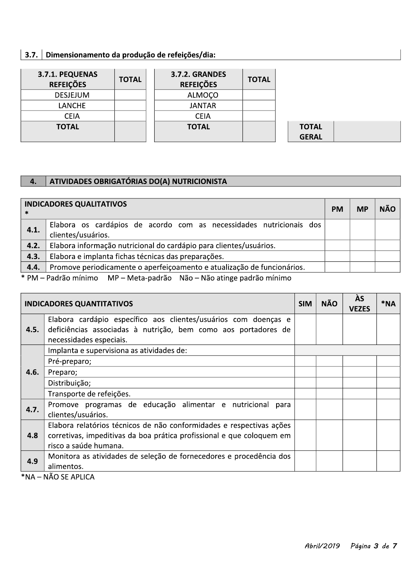# | 3.7. | Dimensionamento da produção de refeições/dia:

| 3.7.1. PEQUENAS<br><b>REFEIÇÕES</b> | <b>TOTAL</b> | <b>3.7.2. GRANDES</b><br><b>REFEIÇÕES</b> | <b>TOTAL</b> |
|-------------------------------------|--------------|-------------------------------------------|--------------|
| <b>DESJEJUM</b>                     |              | <b>ALMOÇO</b>                             |              |
| <b>LANCHE</b>                       |              | <b>JANTAR</b>                             |              |
| <b>CEIA</b>                         |              | <b>CEIA</b>                               |              |
| <b>TOTAL</b>                        |              | <b>TOTAL</b>                              |              |

**TOTAL GERAL** 

#### ATIVIDADES OBRIGATÓRIAS DO(A) NUTRICIONISTA 4.

|      | <b>INDICADORES QUALITATIVOS</b>                                                                                                                                                                                                                                                   | <b>PM</b> | <b>MP</b> | <b>NÃO</b> |
|------|-----------------------------------------------------------------------------------------------------------------------------------------------------------------------------------------------------------------------------------------------------------------------------------|-----------|-----------|------------|
| 4.1. | Elabora os cardápios de acordo com as necessidades nutricionais dos<br>clientes/usuários.                                                                                                                                                                                         |           |           |            |
| 4.2. | Elabora informação nutricional do cardápio para clientes/usuários.                                                                                                                                                                                                                |           |           |            |
| 4.3. | Elabora e implanta fichas técnicas das preparações.                                                                                                                                                                                                                               |           |           |            |
| 4.4. | Promove periodicamente o aperfeiçoamento e atualização de funcionários.                                                                                                                                                                                                           |           |           |            |
|      | $\sim$ 0.1 $\sim$ $\sim$ $\sim$ 1.1 $\sim$ $\sim$ 1.1 $\sim$ 1.1 $\sim$ 1.1 $\sim$ 1.1 $\sim$ 1.1 $\sim$ 1.1 $\sim$ 1.1 $\sim$ 1.1 $\sim$ 1.1 $\sim$ 1.1 $\sim$ 1.1 $\sim$ 1.1 $\sim$ 1.1 $\sim$ 1.1 $\sim$ 1.1 $\sim$ 1.1 $\sim$ 1.1 $\sim$ 1.1 $\sim$ 1.1 $\sim$ 1.1 $\sim$ 1.1 |           |           |            |

\* PM – Padrão mínimo MP – Meta-padrão Não – Não atinge padrão mínimo

|      | <b>INDICADORES QUANTITATIVOS</b>                                                                                                                             | <b>SIM</b> | <b>NÃO</b> | ÀS<br><b>VEZES</b> | *NA |
|------|--------------------------------------------------------------------------------------------------------------------------------------------------------------|------------|------------|--------------------|-----|
| 4.5. | Elabora cardápio específico aos clientes/usuários com doenças e<br>deficiências associadas à nutrição, bem como aos portadores de<br>necessidades especiais. |            |            |                    |     |
|      | Implanta e supervisiona as atividades de:                                                                                                                    |            |            |                    |     |
| 4.6. | Pré-preparo;                                                                                                                                                 |            |            |                    |     |
|      | Preparo;                                                                                                                                                     |            |            |                    |     |
|      | Distribuição;                                                                                                                                                |            |            |                    |     |
|      | Transporte de refeições.                                                                                                                                     |            |            |                    |     |
| 4.7. | Promove programas de educação alimentar e nutricional<br>para                                                                                                |            |            |                    |     |
|      | clientes/usuários.                                                                                                                                           |            |            |                    |     |
|      | Elabora relatórios técnicos de não conformidades e respectivas ações                                                                                         |            |            |                    |     |
| 4.8  | corretivas, impeditivas da boa prática profissional e que coloquem em                                                                                        |            |            |                    |     |
|      | risco a saúde humana.                                                                                                                                        |            |            |                    |     |
| 4.9  | Monitora as atividades de seleção de fornecedores e procedência dos                                                                                          |            |            |                    |     |
|      | alimentos.                                                                                                                                                   |            |            |                    |     |

 $*NA - NÃO SE APLICA$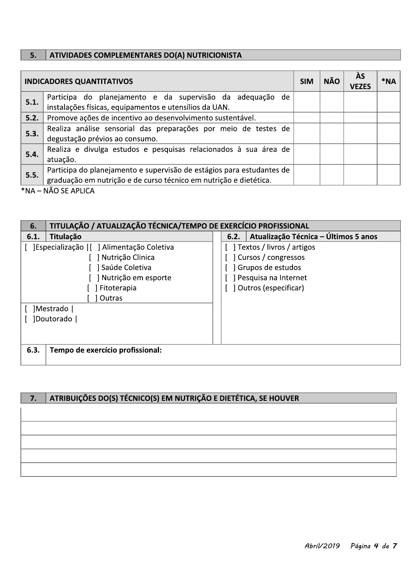#### $\overline{5.}$ ATIVIDADES COMPLEMENTARES DO(A) NUTRICIONISTA

|      | <b>INDICADORES QUANTITATIVOS</b>                                                                                    | <b>SIM</b> | <b>NÃO</b> | ÀS<br><b>VF7FS</b> | *NA |
|------|---------------------------------------------------------------------------------------------------------------------|------------|------------|--------------------|-----|
| 5.1. | Participa do planejamento e da supervisão da adequação de<br>instalações físicas, equipamentos e utensílios da UAN. |            |            |                    |     |
|      |                                                                                                                     |            |            |                    |     |
| 5.2. | Promove ações de incentivo ao desenvolvimento sustentável.                                                          |            |            |                    |     |
| 5.3. | Realiza análise sensorial das preparações por meio de testes de                                                     |            |            |                    |     |
|      | degustação prévios ao consumo.                                                                                      |            |            |                    |     |
| 5.4. | Realiza e divulga estudos e pesquisas relacionados à sua área de                                                    |            |            |                    |     |
|      | atuação.                                                                                                            |            |            |                    |     |
| 5.5. | Participa do planejamento e supervisão de estágios para estudantes de                                               |            |            |                    |     |
|      | graduação em nutrição e de curso técnico em nutrição e dietética.                                                   |            |            |                    |     |

\*NA – NÃO SE APLICA

| 6.   | TITULAÇÃO / ATUALIZAÇÃO TÉCNICA/TEMPO DE EXERCÍCIO PROFISSIONAL |                      |      |                                      |  |  |  |  |  |
|------|-----------------------------------------------------------------|----------------------|------|--------------------------------------|--|--|--|--|--|
| 6.1. | Titulação                                                       |                      | 6.2. | Atualização Técnica - Últimos 5 anos |  |  |  |  |  |
|      | ]Especialização   [ ] Alimentação Coletiva                      |                      |      | Textos / livros / artigos            |  |  |  |  |  |
|      | Nutrição Clinica                                                |                      |      | Cursos / congressos                  |  |  |  |  |  |
|      | Saúde Coletiva                                                  |                      |      | Grupos de estudos                    |  |  |  |  |  |
|      | Nutrição em esporte                                             | Pesquisa na Internet |      |                                      |  |  |  |  |  |
|      | Outros (especificar)<br>Fitoterapia                             |                      |      |                                      |  |  |  |  |  |
|      | Outras                                                          |                      |      |                                      |  |  |  |  |  |
|      | Mestrado                                                        |                      |      |                                      |  |  |  |  |  |
|      | Doutorado                                                       |                      |      |                                      |  |  |  |  |  |
|      |                                                                 |                      |      |                                      |  |  |  |  |  |
|      |                                                                 |                      |      |                                      |  |  |  |  |  |
| 6.3. | Tempo de exercício profissional:                                |                      |      |                                      |  |  |  |  |  |
|      |                                                                 |                      |      |                                      |  |  |  |  |  |

#### ATRIBUIÇÕES DO(S) TÉCNICO(S) EM NUTRIÇÃO E DIETÉTICA, SE HOUVER  $7.$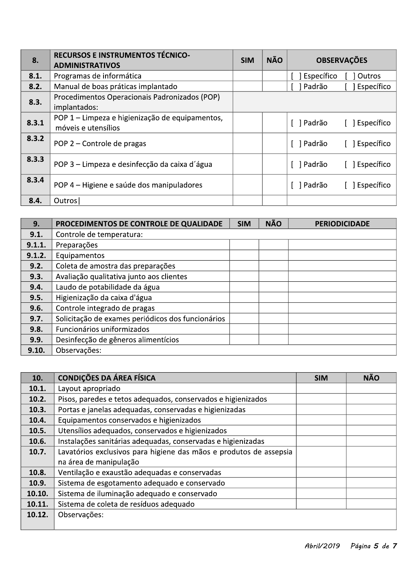| 8.    | RECURSOS E INSTRUMENTOS TÉCNICO-<br><b>ADMINISTRATIVOS</b>             | <b>SIM</b> | <b>NÃO</b> | <b>OBSERVAÇÕES</b>           |
|-------|------------------------------------------------------------------------|------------|------------|------------------------------|
| 8.1.  | Programas de informática                                               |            |            | Específico<br>Outros         |
| 8.2.  | Manual de boas práticas implantado                                     |            |            | Específico<br>Padrão         |
| 8.3.  | Procedimentos Operacionais Padronizados (POP)<br>implantados:          |            |            |                              |
| 8.3.1 | POP 1 - Limpeza e higienização de equipamentos,<br>móveis e utensílios |            |            | [ ] Padrão<br>[ ] Específico |
| 8.3.2 | POP 2 – Controle de pragas                                             |            |            | [ ] Padrão<br>[ ] Específico |
| 8.3.3 | POP 3 - Limpeza e desinfecção da caixa d'água                          |            |            | [ ] Padrão<br>Específico     |
| 8.3.4 | POP 4 - Higiene e saúde dos manipuladores                              |            |            | ] Padrão<br>Específico       |
| 8.4.  | Outros                                                                 |            |            |                              |

| 9.     | PROCEDIMENTOS DE CONTROLE DE QUALIDADE            | <b>SIM</b> | <b>NÃO</b> | <b>PERIODICIDADE</b> |
|--------|---------------------------------------------------|------------|------------|----------------------|
| 9.1.   | Controle de temperatura:                          |            |            |                      |
| 9.1.1. | Preparações                                       |            |            |                      |
| 9.1.2. | Equipamentos                                      |            |            |                      |
| 9.2.   | Coleta de amostra das preparações                 |            |            |                      |
| 9.3.   | Avaliação qualitativa junto aos clientes          |            |            |                      |
| 9.4.   | Laudo de potabilidade da água                     |            |            |                      |
| 9.5.   | Higienização da caixa d'água                      |            |            |                      |
| 9.6.   | Controle integrado de pragas                      |            |            |                      |
| 9.7.   | Solicitação de exames periódicos dos funcionários |            |            |                      |
| 9.8.   | Funcionários uniformizados                        |            |            |                      |
| 9.9.   | Desinfecção de gêneros alimentícios               |            |            |                      |
| 9.10.  | Observações:                                      |            |            |                      |

| 10.    | <b>CONDIÇÕES DA ÁREA FÍSICA</b>                                    | <b>SIM</b> | <b>NÃO</b> |
|--------|--------------------------------------------------------------------|------------|------------|
| 10.1.  | Layout apropriado                                                  |            |            |
| 10.2.  | Pisos, paredes e tetos adequados, conservados e higienizados       |            |            |
| 10.3.  | Portas e janelas adequadas, conservadas e higienizadas             |            |            |
| 10.4.  | Equipamentos conservados e higienizados                            |            |            |
| 10.5.  | Utensílios adequados, conservados e higienizados                   |            |            |
| 10.6.  | Instalações sanitárias adequadas, conservadas e higienizadas       |            |            |
| 10.7.  | Lavatórios exclusivos para higiene das mãos e produtos de assepsia |            |            |
|        | na área de manipulação                                             |            |            |
| 10.8.  | Ventilação e exaustão adequadas e conservadas                      |            |            |
| 10.9.  | Sistema de esgotamento adequado e conservado                       |            |            |
| 10.10. | Sistema de iluminação adequado e conservado                        |            |            |
| 10.11. | Sistema de coleta de resíduos adequado                             |            |            |
| 10.12. | Observações:                                                       |            |            |
|        |                                                                    |            |            |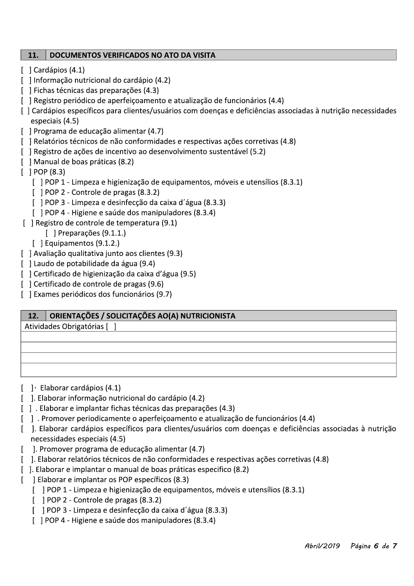#### 11. **DOCUMENTOS VERIFICADOS NO ATO DA VISITA**

- [ ] Cardápios (4.1)
- [ ] Informação nutricional do cardápio (4.2)
- [ ] Fichas técnicas das preparações (4.3)
- [ ] Registro periódico de aperfeiçoamento e atualização de funcionários (4.4)
- [] Cardápios específicos para clientes/usuários com doenças e deficiências associadas à nutrição necessidades especiais (4.5)
- [ ] Programa de educação alimentar (4.7)
- [ ] Relatórios técnicos de não conformidades e respectivas ações corretivas (4.8)
- [ ] Registro de ações de incentivo ao desenvolvimento sustentável (5.2)
- [ ] Manual de boas práticas (8.2)
- $[ ] POP (8.3)$ 
	- [ ] POP 1 Limpeza e higienização de equipamentos, móveis e utensílios (8.3.1)
	- [ ] POP 2 Controle de pragas (8.3.2)
	- [ ] POP 3 Limpeza e desinfecção da caixa d'água (8.3.3)
	- [ ] POP 4 Higiene e saúde dos manipuladores (8.3.4)
- [ ] Registro de controle de temperatura (9.1)
	- $\lceil$  | Preparações (9.1.1.)
	- [ ] Equipamentos (9.1.2.)
- [ ] Avaliação qualitativa junto aos clientes (9.3)
- [ ] Laudo de potabilidade da água (9.4)
- [ ] Certificado de higienização da caixa d'água (9.5)
- [ ] Certificado de controle de pragas (9.6)
- [ ] Exames periódicos dos funcionários (9.7)

#### 12. ORIENTAÇÕES / SOLICITAÇÕES AO(A) NUTRICIONISTA

Atividades Obrigatórias [ ]

- $\lceil \cdot \rceil$  Elaborar cardápios (4.1)
- [ ]. Elaborar informação nutricional do cardápio (4.2)
- []. Elaborar e implantar fichas técnicas das preparações (4.3)
- [ ]. Promover periodicamente o aperfeiçoamento e atualização de funcionários (4.4)
- ]. Elaborar cardápios específicos para clientes/usuários com doenças e deficiências associadas à nutrição  $\mathsf{L}$ necessidades especiais (4.5)
- ]. Promover programa de educação alimentar (4.7)
- [18]. Elaborar relatórios técnicos de não conformidades e respectivas ações corretivas (4.8)
- [ ]. Elaborar e implantar o manual de boas práticas especifico (8.2)
- ] Elaborar e implantar os POP específicos (8.3)  $\mathsf{L}$ 
	- [ ] POP 1 Limpeza e higienização de equipamentos, móveis e utensílios (8.3.1)
	- [ ] POP 2 Controle de pragas (8.3.2)
	- [ ] POP 3 Limpeza e desinfecção da caixa d'água (8.3.3)
	- [ ] POP 4 Higiene e saúde dos manipuladores (8.3.4)